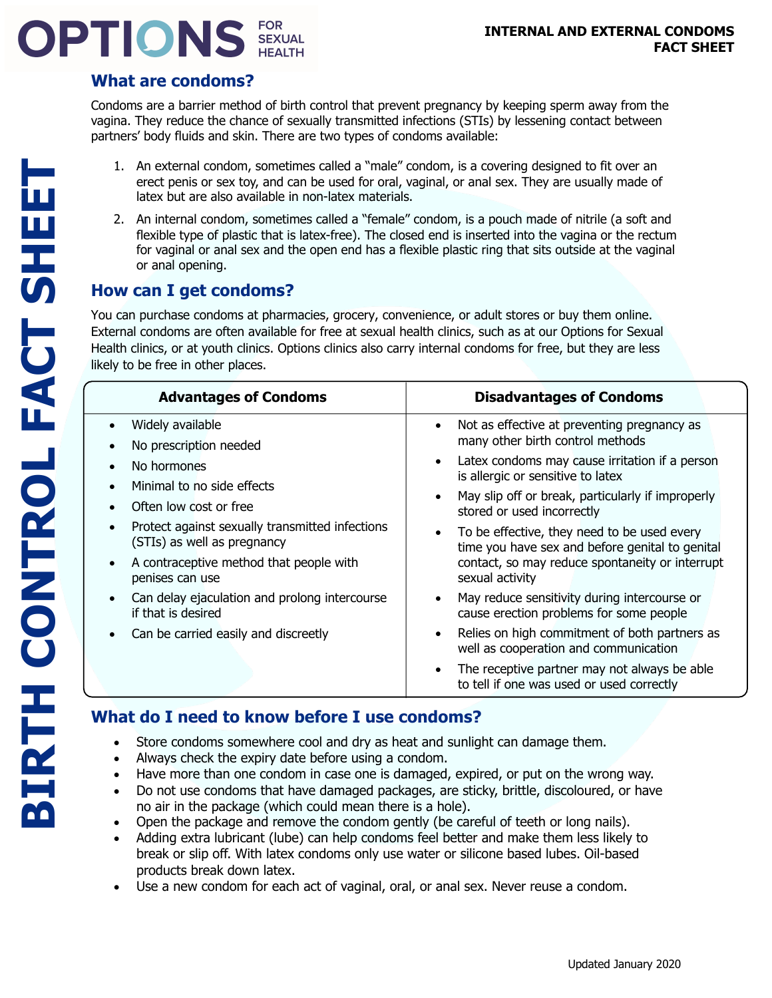# **OPTIONS** SEXUAL

#### **What are condoms?**

Condoms are a barrier method of birth control that prevent pregnancy by keeping sperm away from the vagina. They reduce the chance of sexually transmitted infections (STIs) by lessening contact between partners' body fluids and skin. There are two types of condoms available:

- 1. An external condom, sometimes called a "male" condom, is a covering designed to fit over an erect penis or sex toy, and can be used for oral, vaginal, or anal sex. They are usually made of latex but are also available in non-latex materials.
- 2. An internal condom, sometimes called a "female" condom, is a pouch made of nitrile (a soft and flexible type of plastic that is latex-free). The closed end is inserted into the vagina or the rectum for vaginal or anal sex and the open end has a flexible plastic ring that sits outside at the vaginal or anal opening.

## **How can I get condoms?**

You can purchase condoms at pharmacies, grocery, convenience, or adult stores or buy them online. External condoms are often available for free at sexual health clinics, such as at our Options for Sexual Health clinics, or at youth clinics. Options clinics also carry internal condoms for free, but they are less likely to be free in other places.

| <b>Advantages of Condoms</b>                                                   | <b>Disadvantages of Condoms</b>                                                                             |
|--------------------------------------------------------------------------------|-------------------------------------------------------------------------------------------------------------|
| Widely available<br>No prescription needed                                     | Not as effective at preventing pregnancy as<br>$\bullet$<br>many other birth control methods                |
| No hormones<br>Minimal to no side effects                                      | Latex condoms may cause irritation if a person<br>is allergic or sensitive to latex                         |
| Often low cost or free                                                         | May slip off or break, particularly if improperly<br>stored or used incorrectly                             |
| Protect against sexually transmitted infections<br>(STIs) as well as pregnancy | To be effective, they need to be used every<br>$\bullet$<br>time you have sex and before genital to genital |
| A contraceptive method that people with<br>penises can use                     | contact, so may reduce spontaneity or interrupt<br>sexual activity                                          |
| Can delay ejaculation and prolong intercourse<br>if that is desired            | May reduce sensitivity during intercourse or<br>cause erection problems for some people                     |
| Can be carried easily and discreetly                                           | Relies on high commitment of both partners as<br>well as cooperation and communication                      |
|                                                                                | The receptive partner may not always be able<br>$\bullet$<br>to tell if one was used or used correctly      |

### **What do I need to know before I use condoms?**

- Store condoms somewhere cool and dry as heat and sunlight can damage them.
- Always check the expiry date before using a condom.
- Have more than one condom in case one is damaged, expired, or put on the wrong way.
- Do not use condoms that have damaged packages, are sticky, brittle, discoloured, or have no air in the package (which could mean there is a hole).
- Open the package and remove the condom gently (be careful of teeth or long nails).
- Adding extra lubricant (lube) can help condoms feel better and make them less likely to break or slip off. With latex condoms only use water or silicone based lubes. Oil-based products break down latex.
- Use a new condom for each act of vaginal, oral, or anal sex. Never reuse a condom.